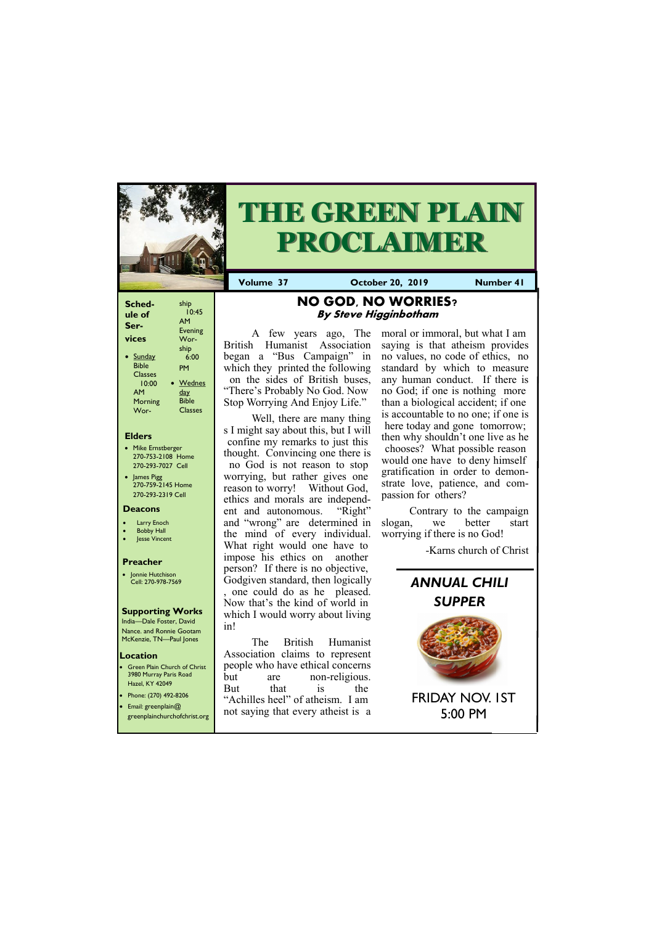| Sched-<br>ule of<br>Ser-<br>vices<br>Sunday<br><b>Bible</b> | ship<br>10:45<br><b>AM</b><br>Evening<br>Wor-<br>ship<br>6:00<br>PM |
|-------------------------------------------------------------|---------------------------------------------------------------------|
| <b>Classes</b><br>10:00<br>AМ<br>Morning<br>Wor-            | Wednes<br>day<br><b>Bible</b><br><b>Classes</b>                     |

#### **Elders**

**Green Plain Church of Christ** 3980 Murray Paris Road Hazel, KY 42049 • Phone: (270) 492-8206

- Mike Ernstberger 270-753-2108 Home 270-293-7027 Cell
- James Pigg 270-759-2145 Home 270-293-2319 Cell

#### **Location**



# **THE GREEN PLAIN PROCLAIMER**

**Volume 37 October 20, 2019 Number 41**

#### **Deacons**

- **Larry Enoch**
- **Bobby Hall**
- **Jesse Vincent**

#### **Preacher**

• Jonnie Hutchison Cell: 270-978-7569

#### **Supporting Works**

India—Dale Foster, David Nance. and Ronnie Gootam McKenzie, TN—Paul Jones

### **NO GOD, NO WORRIES? By Steve Higginbotham**

The British Humanist Association claims to represent people who have ethical concerns but are non-religious. But that is the

British Humanist Association began a "Bus Campaign" in which they printed the following on the sides of British buses, "There's Probably No God. Now Stop Worrying And Enjoy Life."

Well, there are many thing s I might say about this, but I will confine my remarks to just this thought. Convincing one there is no God is not reason to stop worrying, but rather gives one reason to worry! Without God, ethics and morals are independent and autonomous. "Right" and "wrong" are determined in the mind of every individual. What right would one have to impose his ethics on another person? If there is no objective, Godgiven standard, then logically , one could do as he pleased. Now that's the kind of world in which I would worry about living in!

| $\bullet$ Prione: (270) 472-6206                                | "Achilles heel" of atheism. I am   | FRIDAY NOV. I |
|-----------------------------------------------------------------|------------------------------------|---------------|
| $\bullet$ Email: greenplain $@$<br>greenplainchurchofchrist.org | not saying that every atheist is a | $5:00$ PM     |
|                                                                 |                                    |               |

A few years ago, The moral or immoral, but what I am saying is that atheism provides no values, no code of ethics, no standard by which to measure any human conduct. If there is no God; if one is nothing more than a biological accident; if one is accountable to no one; if one is here today and gone tomorrow; then why shouldn't one live as he chooses? What possible reason would one have to deny himself gratification in order to demonstrate love, patience, and compassion for others?

> Contrary to the campaign slogan, we better start worrying if there is no God!

> > -Karns church of Christ

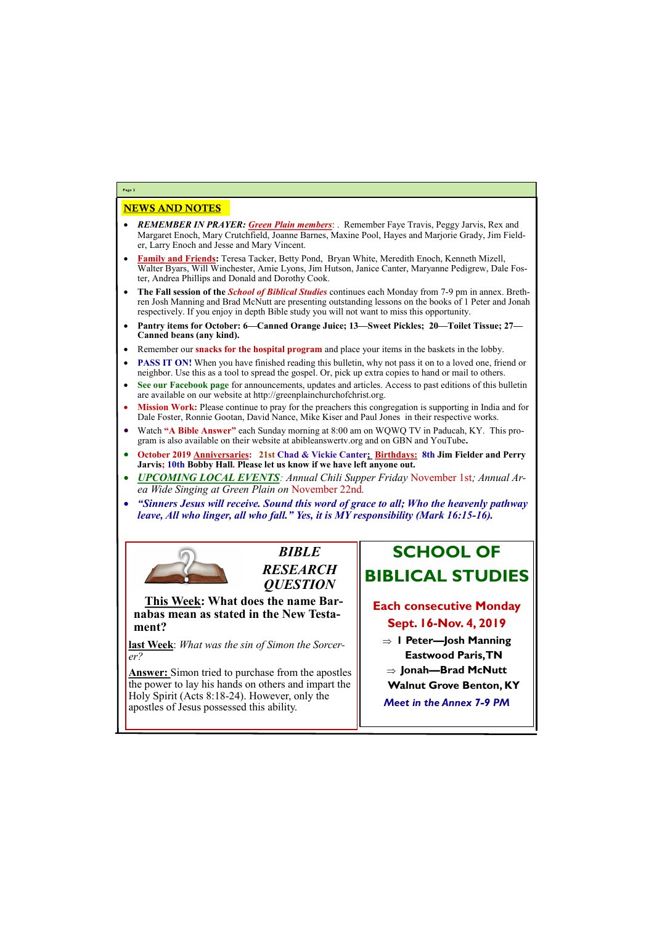### NEWS AND NOTES

- *REMEMBER IN PRAYER: Green Plain members*: . Remember Faye Travis, Peggy Jarvis, Rex and Margaret Enoch, Mary Crutchfield, Joanne Barnes, Maxine Pool, Hayes and Marjorie Grady, Jim Fielder, Larry Enoch and Jesse and Mary Vincent.
- **Family and Friends:** Teresa Tacker, Betty Pond, Bryan White, Meredith Enoch, Kenneth Mizell, Walter Byars, Will Winchester, Amie Lyons, Jim Hutson, Janice Canter, Maryanne Pedigrew, Dale Foster, Andrea Phillips and Donald and Dorothy Cook.
- **The Fall session of the** *School of Biblical Studies* continues each Monday from 7-9 pm in annex. Brethren Josh Manning and Brad McNutt are presenting outstanding lessons on the books of 1 Peter and Jonah respectively. If you enjoy in depth Bible study you will not want to miss this opportunity.
- **Pantry items for October: 6—Canned Orange Juice; 13—Sweet Pickles; 20—Toilet Tissue; 27— Canned beans (any kind).**
- Remember our **snacks for the hospital program** and place your items in the baskets in the lobby.
- **PASS IT ON!** When you have finished reading this bulletin, why not pass it on to a loved one, friend or neighbor. Use this as a tool to spread the gospel. Or, pick up extra copies to hand or mail to others.
- **See our Facebook page** for announcements, updates and articles. Access to past editions of this bulletin are available on our website at http://greenplainchurchofchrist.org.
- **Mission Work:** Please continue to pray for the preachers this congregation is supporting in India and for Dale Foster, Ronnie Gootan, David Nance, Mike Kiser and Paul Jones in their respective works.
- Watch **"A Bible Answer"** each Sunday morning at 8:00 am on WQWQ TV in Paducah, KY. This program is also available on their website at abibleanswertv.org and on GBN and YouTube**.**
- **October 2019 Anniversaries: 21st Chad & Vickie Canter; Birthdays: 8th Jim Fielder and Perry Jarvis; 10th Bobby Hall. Please let us know if we have left anyone out.**
- *UPCOMING LOCAL EVENTS: Annual Chili Supper Friday* November 1st*; Annual Area Wide Singing at Green Plain on* November 22nd*.*
- *"Sinners Jesus will receive. Sound this word of grace to all; Who the heavenly pathway leave, All who linger, all who fall." Yes, it is MY responsibility (Mark 16:15-16).*



**Page 2**

*BIBLE RESEARCH QUESTION*

**This Week: What does the name Barnabas mean as stated in the New Testament?**

**last Week**: *What was the sin of Simon the Sorcerer?*

**Answer:** Simon tried to purchase from the apostles the power to lay his hands on others and impart the Holy Spirit (Acts 8:18-24). However, only the apostles of Jesus possessed this ability.

## **SCHOOL OF BIBLICAL STUDIES**

### **Each consecutive Monday Sept. 16-Nov. 4, 2019**

- **1 Peter—Josh Manning Eastwood Paris, TN**
- **Jonah—Brad McNutt**
- **Walnut Grove Benton, KY**
- 

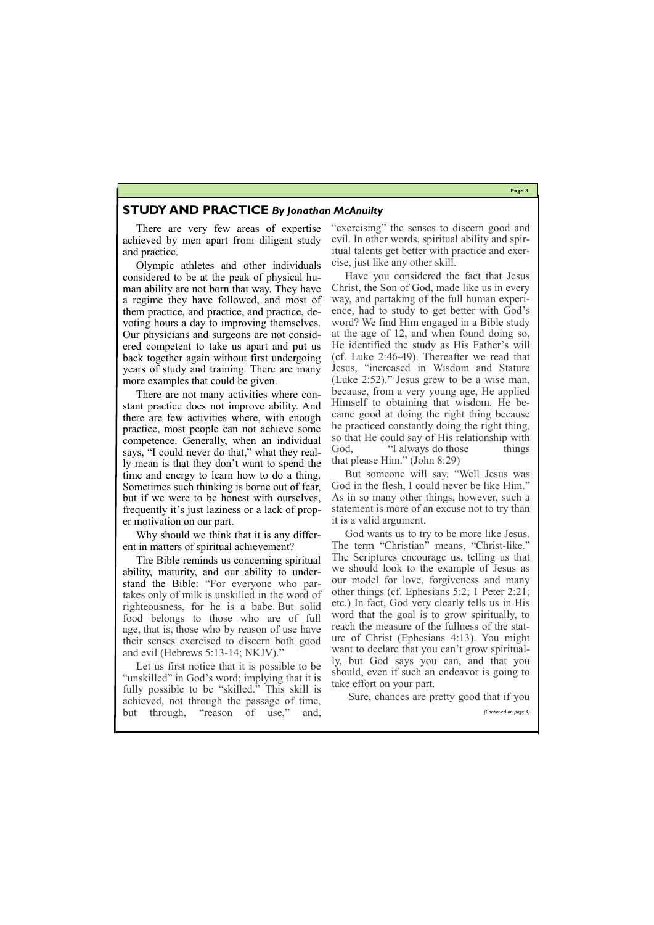**Page 3**

### **STUDY AND PRACTICE** *By Jonathan McAnuilty*

There are very few areas of expertise achieved by men apart from diligent study and practice.

Olympic athletes and other individuals considered to be at the peak of physical human ability are not born that way. They have a regime they have followed, and most of them practice, and practice, and practice, devoting hours a day to improving themselves. Our physicians and surgeons are not considered competent to take us apart and put us back together again without first undergoing years of study and training. There are many more examples that could be given.

There are not many activities where constant practice does not improve ability. And there are few activities where, with enough practice, most people can not achieve some competence. Generally, when an individual says, "I could never do that," what they really mean is that they don't want to spend the time and energy to learn how to do a thing. Sometimes such thinking is borne out of fear, but if we were to be honest with ourselves, frequently it's just laziness or a lack of proper motivation on our part.

Why should we think that it is any different in matters of spiritual achievement?

The Bible reminds us concerning spiritual ability, maturity, and our ability to understand the Bible: "For everyone who partakes only of milk is unskilled in the word of righteousness, for he is a babe. But solid food belongs to those who are of full age, that is, those who by reason of use have their senses exercised to discern both good and evil (Hebrews 5:13-14; NKJV)."

Let us first notice that it is possible to be "unskilled" in God's word; implying that it is fully possible to be "skilled." This skill is

"exercising" the senses to discern good and evil. In other words, spiritual ability and spiritual talents get better with practice and exercise, just like any other skill.

Have you considered the fact that Jesus Christ, the Son of God, made like us in every way, and partaking of the full human experience, had to study to get better with God's word? We find Him engaged in a Bible study at the age of 12, and when found doing so, He identified the study as His Father's will (cf. Luke 2:46-49). Thereafter we read that Jesus, "increased in Wisdom and Stature (Luke 2:52)." Jesus grew to be a wise man, because, from a very young age, He applied Himself to obtaining that wisdom. He became good at doing the right thing because he practiced constantly doing the right thing, so that He could say of His relationship with God, "I always do those things that please Him." (John 8:29)

| Sure, chances are pretty good that if you | achieved, not through the passage of time, |  |  |                               |  |  |
|-------------------------------------------|--------------------------------------------|--|--|-------------------------------|--|--|
| (Continued on page 4)                     | and,                                       |  |  | but through, "reason of use," |  |  |
|                                           |                                            |  |  |                               |  |  |

But someone will say, "Well Jesus was God in the flesh, I could never be like Him." As in so many other things, however, such a statement is more of an excuse not to try than it is a valid argument.

God wants us to try to be more like Jesus. The term "Christian" means, "Christ-like." The Scriptures encourage us, telling us that we should look to the example of Jesus as our model for love, forgiveness and many other things (cf. Ephesians 5:2; 1 Peter 2:21; etc.) In fact, God very clearly tells us in His word that the goal is to grow spiritually, to reach the measure of the fullness of the stature of Christ (Ephesians 4:13). You might want to declare that you can't grow spiritually, but God says you can, and that you should, even if such an endeavor is going to take effort on your part.

Sure, chances are pretty good that if you